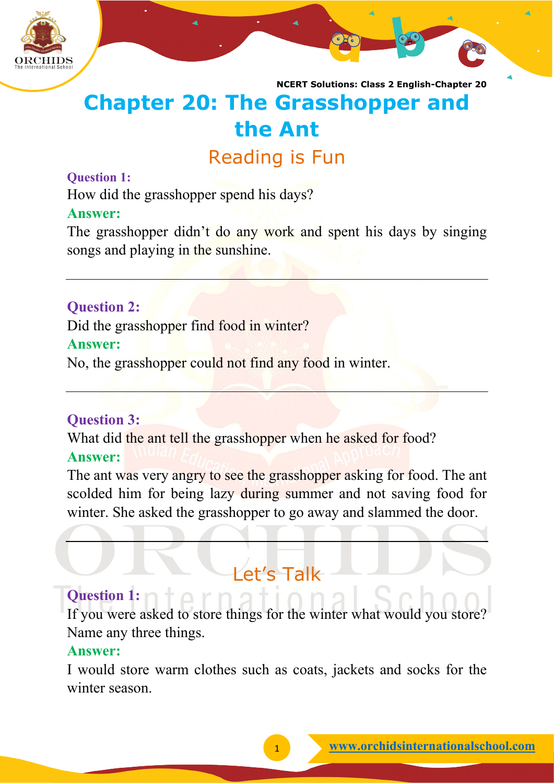

### **Chapter 20: The Grasshopper and the Ant**

#### Reading is Fun

#### **Question 1:**

How did the grasshopper spend his days?

#### **Answer:**

The grasshopper didn't do any work and spent his days by singing songs and playing in the sunshine.

#### **Question 2:**

Did the grasshopper find food in winter?

#### **Answer:**

No, the grasshopper could not find any food in winter.

#### **Question 3:**

What did the ant tell the grasshopper when he asked for food? **Answer:**

The ant was very angry to see the grasshopper asking for food. The ant scolded him for being lazy during summer and not saving food for winter. She asked the grasshopper to go away and slammed the door.

#### Let's Talk

#### **Question 1:**

If you were asked to store things for the winter what would you store? Name any three things.

#### **Answer:**

I would store warm clothes such as coats, jackets and socks for the winter season.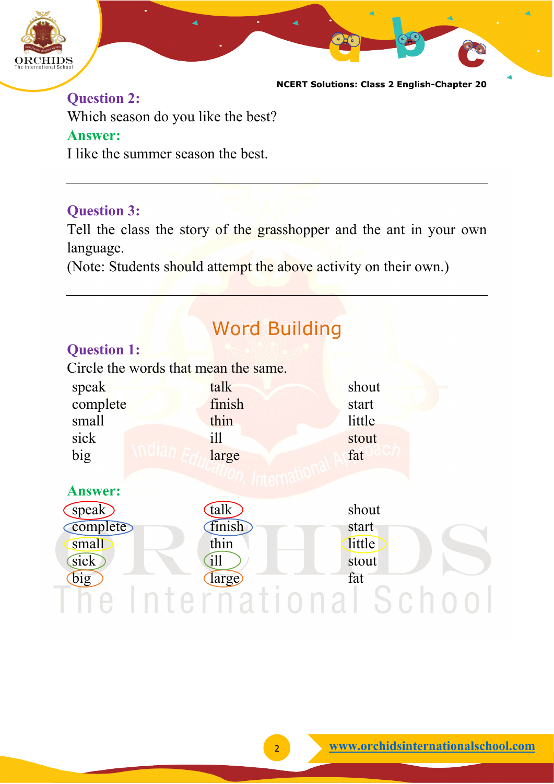

**Question 2:** Which season do you like the best? **Answer:**

I like the summer season the best.

#### **Question 3:**

Tell the class the story of the grasshopper and the ant in your own language.

(Note: Students should attempt the above activity on their own.)

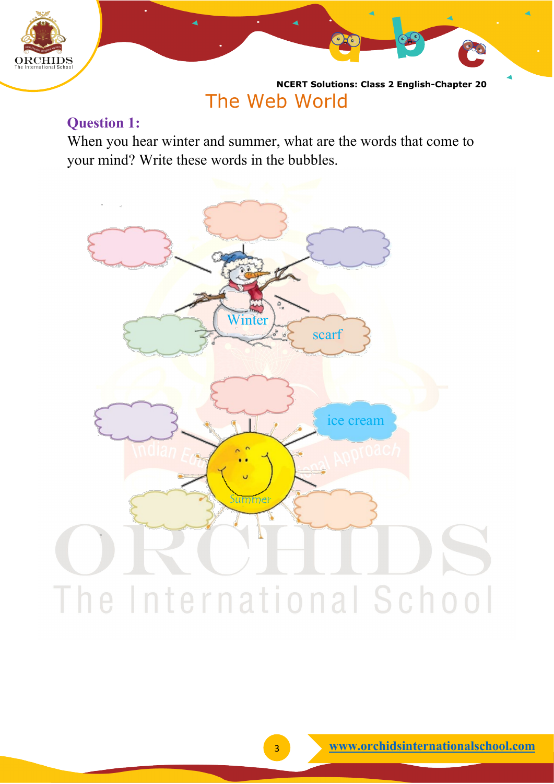

**NCERT Solutions: Class 2 English-Chapter 20** The Web World

#### **Question 1:**

When you hear winter and summer, what are the words that come to your mind? Write these words in the bubbles.

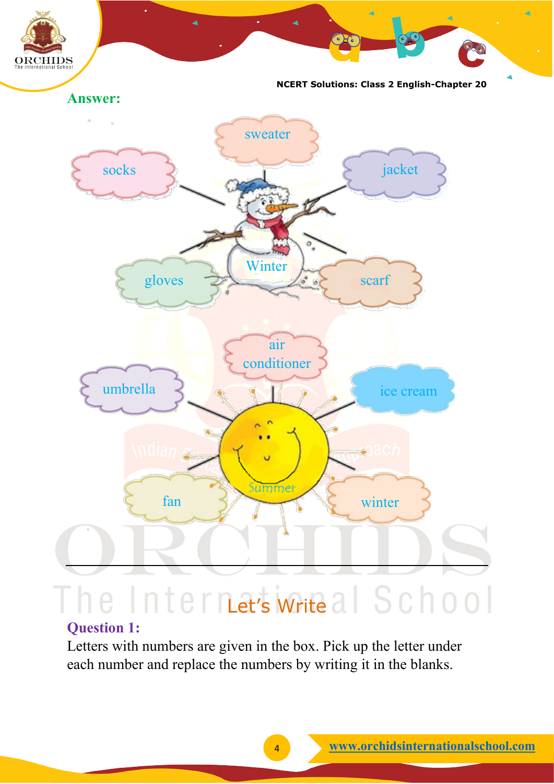

### e Internatis Write al School

#### **Question 1:**

Letters with numbers are given in the box. Pick up the letter under each number and replace the numbers by writing it in the blanks.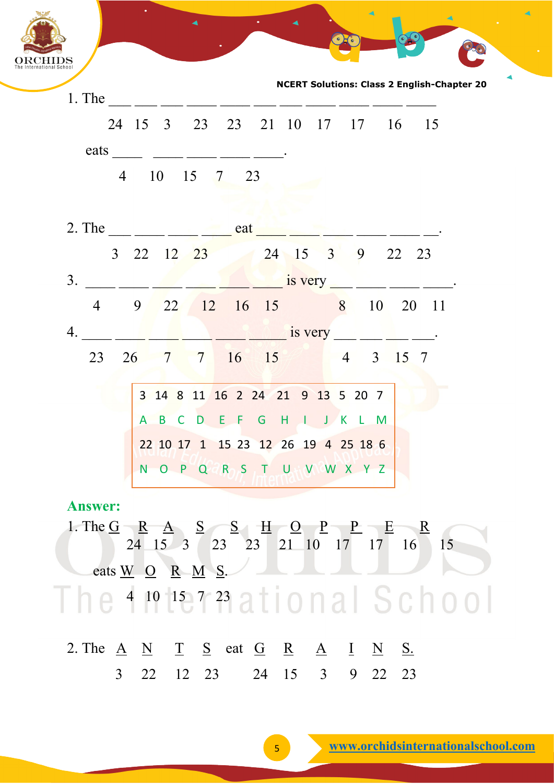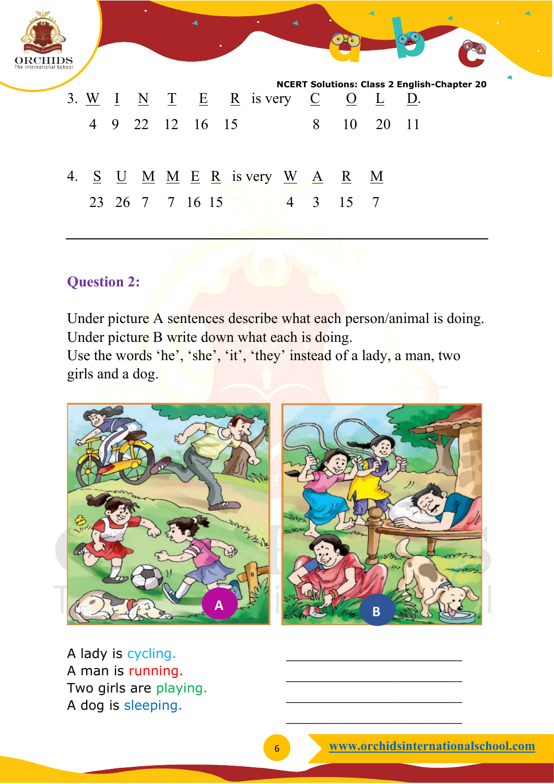

#### **Question 2:**

Under picture A sentences describe what each person/animal is doing. Under picture B write down what each is doing. Use the words 'he', 'she', 'it', 'they' instead of a lady, a man, two girls and a dog.



A lady is cycling. A man is running. Two girls are playing. A dog is sleeping.

 $\overline{\phantom{a}}$  , where the contract of the contract of the contract of the contract of the contract of the contract of the contract of the contract of the contract of the contract of the contract of the contract of the contr

 $\overline{\phantom{a}}$  , which is a set of the set of the set of the set of the set of the set of the set of the set of the set of the set of the set of the set of the set of the set of the set of the set of the set of the set of th

 $\overline{\phantom{a}}$  , where the contract of the contract of the contract of the contract of the contract of the contract of the contract of the contract of the contract of the contract of the contract of the contract of the contr

 $\overline{\phantom{a}}$  , which is a set of the set of the set of the set of the set of the set of the set of the set of the set of the set of the set of the set of the set of the set of the set of the set of the set of the set of th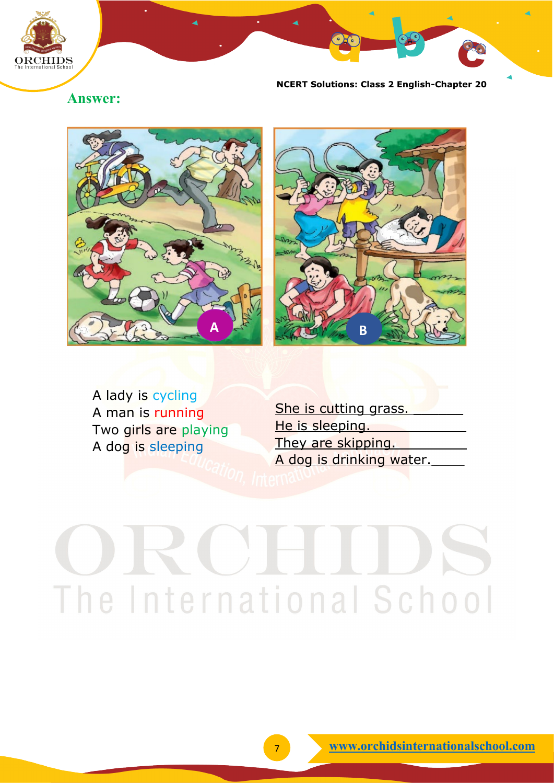

#### **Answer:**





A lady is cycling A man is running Two girls are playing A dog is sleeping

She is cutting grass. He is sleeping. They are skipping. A dog is drinking water.

## The International School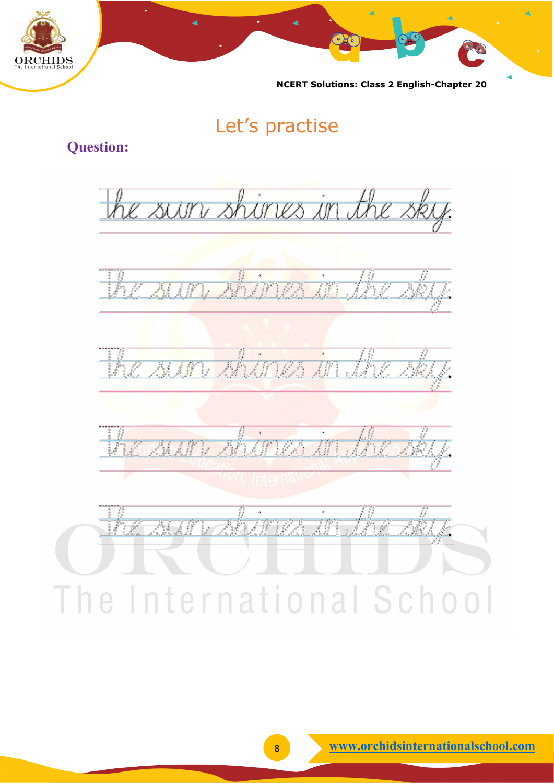

#### Let's practise

#### **Question:**

the sur shires in the sky. ahara at l a felip IFTEA Friday Maria

The International School